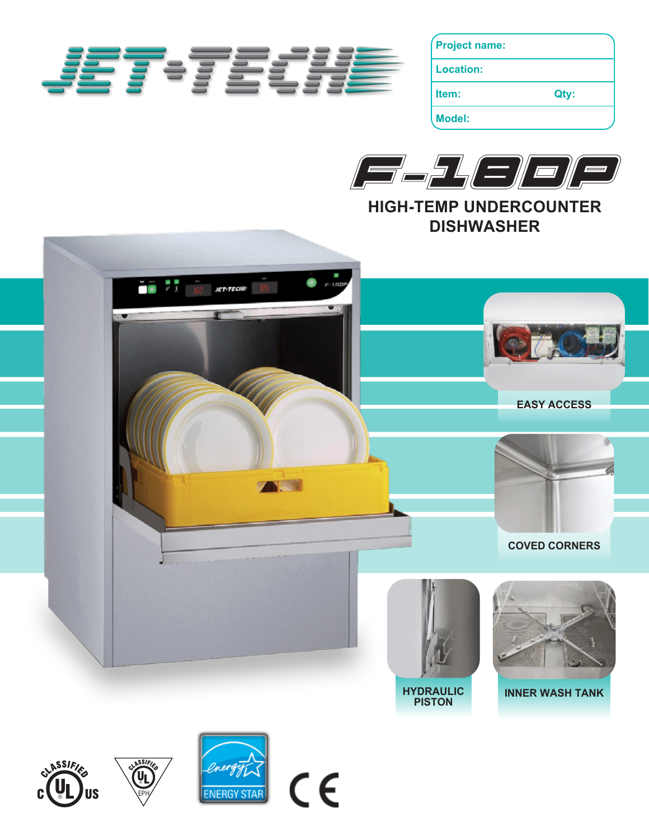| Project name: |      |
|---------------|------|
| Location:     |      |
| ltem:         | Qty: |

Model:







序题 26





 $\bullet$  2  $\overline{\mathbf{37}}$  $\overline{p}$